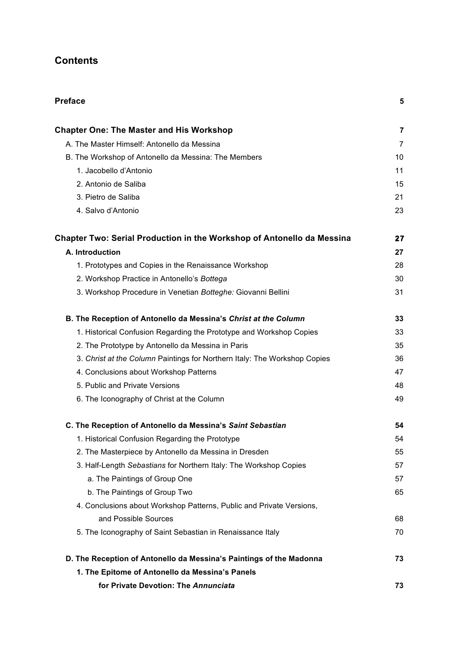## **Contents**

| <b>Preface</b>                                                                | 5              |
|-------------------------------------------------------------------------------|----------------|
| <b>Chapter One: The Master and His Workshop</b>                               | 7              |
| A. The Master Himself: Antonello da Messina                                   | $\overline{7}$ |
| B. The Workshop of Antonello da Messina: The Members                          | 10             |
| 1. Jacobello d'Antonio                                                        | 11             |
| 2. Antonio de Saliba                                                          | 15             |
| 3. Pietro de Saliba                                                           | 21             |
| 4. Salvo d'Antonio                                                            | 23             |
| <b>Chapter Two: Serial Production in the Workshop of Antonello da Messina</b> | 27             |
| A. Introduction                                                               | 27             |
| 1. Prototypes and Copies in the Renaissance Workshop                          | 28             |
| 2. Workshop Practice in Antonello's Bottega                                   | 30             |
| 3. Workshop Procedure in Venetian Botteghe: Giovanni Bellini                  | 31             |
| B. The Reception of Antonello da Messina's Christ at the Column               | 33             |
| 1. Historical Confusion Regarding the Prototype and Workshop Copies           | 33             |
| 2. The Prototype by Antonello da Messina in Paris                             | 35             |
| 3. Christ at the Column Paintings for Northern Italy: The Workshop Copies     | 36             |
| 4. Conclusions about Workshop Patterns                                        | 47             |
| 5. Public and Private Versions                                                | 48             |
| 6. The Iconography of Christ at the Column                                    | 49             |
| C. The Reception of Antonello da Messina's Saint Sebastian                    | 54             |
| 1. Historical Confusion Regarding the Prototype                               | 54             |
| 2. The Masterpiece by Antonello da Messina in Dresden                         | 55             |
| 3. Half-Length Sebastians for Northern Italy: The Workshop Copies             | 57             |
| a. The Paintings of Group One                                                 | 57             |
| b. The Paintings of Group Two                                                 | 65             |
| 4. Conclusions about Workshop Patterns, Public and Private Versions,          |                |
| and Possible Sources                                                          | 68             |
| 5. The Iconography of Saint Sebastian in Renaissance Italy                    | 70             |
| D. The Reception of Antonello da Messina's Paintings of the Madonna           | 73             |
| 1. The Epitome of Antonello da Messina's Panels                               |                |
| for Private Devotion: The Annunciata                                          | 73             |